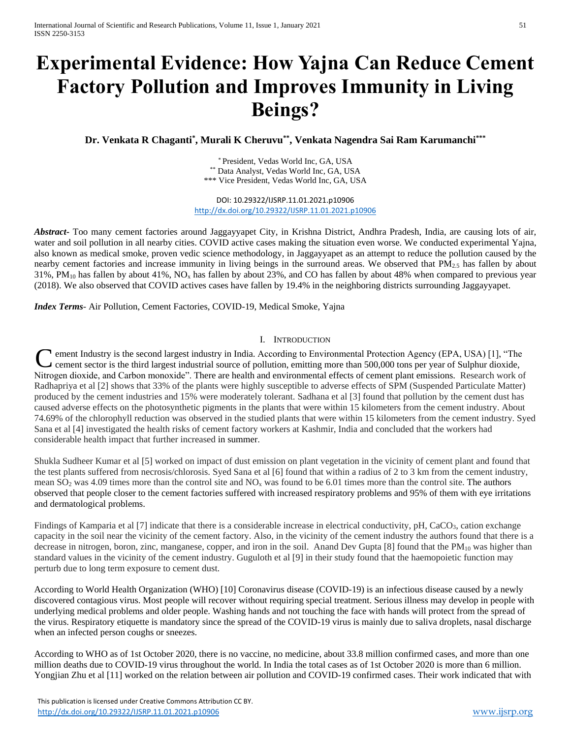# **Experimental Evidence: How Yajna Can Reduce Cement Factory Pollution and Improves Immunity in Living Beings?**

**Dr. Venkata R Chaganti\* , Murali K Cheruvu\*\* , Venkata Nagendra Sai Ram Karumanchi\*\*\***

\* President, Vedas World Inc, GA, USA \*\* Data Analyst, Vedas World Inc, GA, USA \*\*\* Vice President, Vedas World Inc, GA, USA

DOI: 10.29322/IJSRP.11.01.2021.p10906 <http://dx.doi.org/10.29322/IJSRP.11.01.2021.p10906>

*Abstract***-** Too many cement factories around Jaggayyapet City, in Krishna District, Andhra Pradesh, India, are causing lots of air, water and soil pollution in all nearby cities. COVID active cases making the situation even worse. We conducted experimental Yajna, also known as medical smoke, proven vedic science methodology, in Jaggayyapet as an attempt to reduce the pollution caused by the nearby cement factories and increase immunity in living beings in the surround areas. We observed that PM<sub>2.5</sub> has fallen by about 31%, PM $_{10}$  has fallen by about 41%, NO<sub>x</sub> has fallen by about 23%, and CO has fallen by about 48% when compared to previous year (2018). We also observed that COVID actives cases have fallen by 19.4% in the neighboring districts surrounding Jaggayyapet.

*Index Terms*- Air Pollution, Cement Factories, COVID-19, Medical Smoke, Yajna

# I. INTRODUCTION

**C** ement Industry is the second largest industry in India. According to Environmental Protection Agency (EPA, USA) [1], "The cement sector is the third largest industrial source of pollution, emitting more than 500,000 to cement sector is the third largest industrial source of pollution, emitting more than 500,000 tons per year of Sulphur dioxide, Nitrogen dioxide, and Carbon monoxide". There are health and environmental effects of cement plant emissions. Research work of Radhapriya et al [2] shows that 33% of the plants were highly susceptible to adverse effects of SPM (Suspended Particulate Matter) produced by the cement industries and 15% were moderately tolerant. Sadhana et al [3] found that pollution by the cement dust has caused adverse effects on the photosynthetic pigments in the plants that were within 15 kilometers from the cement industry. About 74.69% of the chlorophyll reduction was observed in the studied plants that were within 15 kilometers from the cement industry. Syed Sana et al [4] investigated the health risks of cement factory workers at Kashmir, India and concluded that the workers had considerable health impact that further increased in summer.

Shukla Sudheer Kumar et al [5] worked on impact of dust emission on plant vegetation in the vicinity of cement plant and found that the test plants suffered from necrosis/chlorosis. Syed Sana et al [6] found that within a radius of 2 to 3 km from the cement industry, mean  $SO_2$  was 4.09 times more than the control site and  $NO<sub>x</sub>$  was found to be 6.01 times more than the control site. The authors observed that people closer to the cement factories suffered with increased respiratory problems and 95% of them with eye irritations and dermatological problems.

Findings of Kamparia et al [7] indicate that there is a considerable increase in electrical conductivity, pH, CaCO<sub>3</sub>, cation exchange capacity in the soil near the vicinity of the cement factory. Also, in the vicinity of the cement industry the authors found that there is a decrease in nitrogen, boron, zinc, manganese, copper, and iron in the soil. Anand Dev Gupta [8] found that the PM<sub>10</sub> was higher than standard values in the vicinity of the cement industry. Guguloth et al [9] in their study found that the haemopoietic function may perturb due to long term exposure to cement dust.

According to World Health Organization (WHO) [10] Coronavirus disease (COVID-19) is an infectious disease caused by a newly discovered contagious virus. Most people will recover without requiring special treatment. Serious illness may develop in people with underlying medical problems and older people. Washing hands and not touching the face with hands will protect from the spread of the virus. Respiratory etiquette is mandatory since the spread of the COVID-19 virus is mainly due to saliva droplets, nasal discharge when an infected person coughs or sneezes.

According to WHO as of 1st October 2020, there is no vaccine, no medicine, about 33.8 million confirmed cases, and more than one million deaths due to COVID-19 virus throughout the world. In India the total cases as of 1st October 2020 is more than 6 million. Yongjian Zhu et al [11] worked on the relation between air pollution and COVID-19 confirmed cases. Their work indicated that with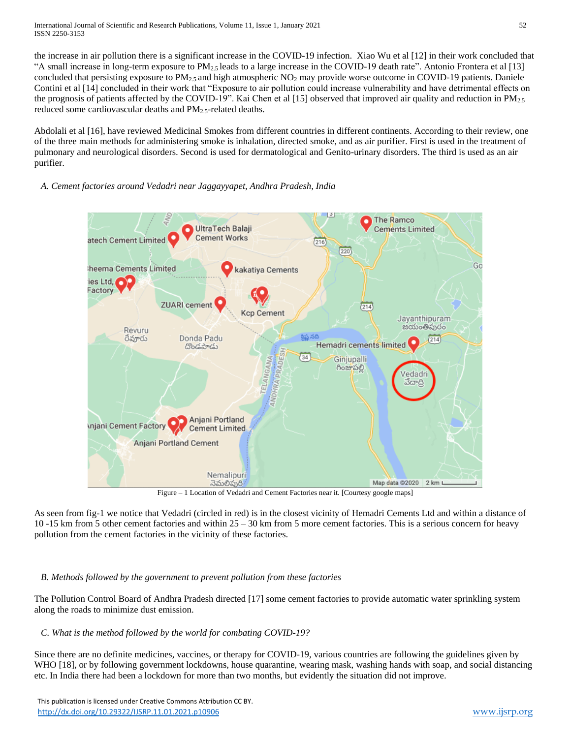the increase in air pollution there is a significant increase in the COVID-19 infection. Xiao Wu et al [12] in their work concluded that "A small increase in long-term exposure to  $PM_{2.5}$  leads to a large increase in the COVID-19 death rate". Antonio Frontera et al [13] concluded that persisting exposure to PM $_{2.5}$  and high atmospheric NO<sub>2</sub> may provide worse outcome in COVID-19 patients. Daniele Contini et al [14] concluded in their work that "Exposure to air pollution could increase vulnerability and have detrimental effects on the prognosis of patients affected by the COVID-19". Kai Chen et al [15] observed that improved air quality and reduction in  $PM_{2,5}$ reduced some cardiovascular deaths and PM<sub>2</sub> s-related deaths.

Abdolali et al [16], have reviewed Medicinal Smokes from different countries in different continents. According to their review, one of the three main methods for administering smoke is inhalation, directed smoke, and as air purifier. First is used in the treatment of pulmonary and neurological disorders. Second is used for dermatological and Genito-urinary disorders. The third is used as an air purifier.

# *A. Cement factories around Vedadri near Jaggayyapet, Andhra Pradesh, India*



Figure – 1 Location of Vedadri and Cement Factories near it. [Courtesy google maps]

As seen from fig-1 we notice that Vedadri (circled in red) is in the closest vicinity of Hemadri Cements Ltd and within a distance of 10 -15 km from 5 other cement factories and within 25 – 30 km from 5 more cement factories. This is a serious concern for heavy pollution from the cement factories in the vicinity of these factories.

# *B. Methods followed by the government to prevent pollution from these factories*

The Pollution Control Board of Andhra Pradesh directed [17] some cement factories to provide automatic water sprinkling system along the roads to minimize dust emission.

# *C. What is the method followed by the world for combating COVID-19?*

Since there are no definite medicines, vaccines, or therapy for COVID-19, various countries are following the guidelines given by WHO [18], or by following government lockdowns, house quarantine, wearing mask, washing hands with soap, and social distancing etc. In India there had been a lockdown for more than two months, but evidently the situation did not improve.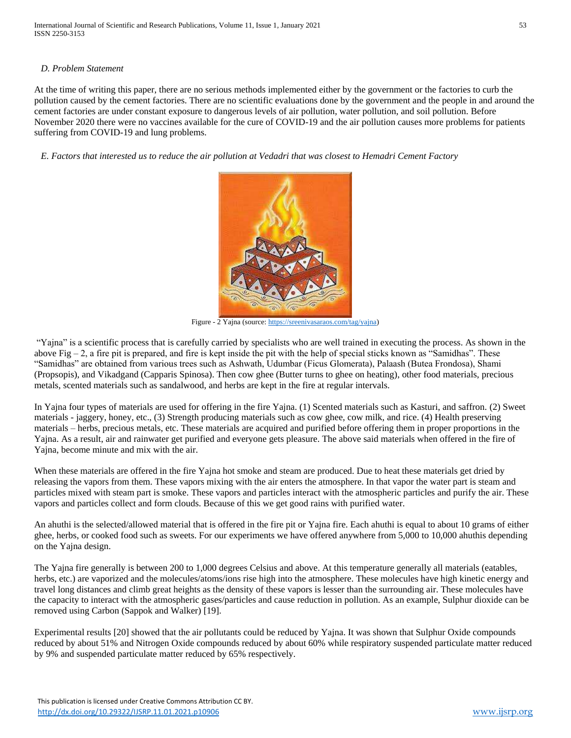## *D. Problem Statement*

At the time of writing this paper, there are no serious methods implemented either by the government or the factories to curb the pollution caused by the cement factories. There are no scientific evaluations done by the government and the people in and around the cement factories are under constant exposure to dangerous levels of air pollution, water pollution, and soil pollution. Before November 2020 there were no vaccines available for the cure of COVID-19 and the air pollution causes more problems for patients suffering from COVID-19 and lung problems.

*E. Factors that interested us to reduce the air pollution at Vedadri that was closest to Hemadri Cement Factory*



Figure - 2 Yajna (source: [https://sreenivasaraos.com/tag/yajna\)](https://sreenivasaraos.com/tag/yajna)

"Yajna" is a scientific process that is carefully carried by specialists who are well trained in executing the process. As shown in the above Fig  $-2$ , a fire pit is prepared, and fire is kept inside the pit with the help of special sticks known as "Samidhas". These "Samidhas" are obtained from various trees such as Ashwath, Udumbar (Ficus Glomerata), Palaash (Butea Frondosa), Shami (Propsopis), and Vikadgand (Capparis Spinosa). Then cow ghee (Butter turns to ghee on heating), other food materials, precious metals, scented materials such as sandalwood, and herbs are kept in the fire at regular intervals.

In Yajna four types of materials are used for offering in the fire Yajna. (1) Scented materials such as Kasturi, and saffron. (2) Sweet materials - jaggery, honey, etc., (3) Strength producing materials such as cow ghee, cow milk, and rice. (4) Health preserving materials – herbs, precious metals, etc. These materials are acquired and purified before offering them in proper proportions in the Yajna. As a result, air and rainwater get purified and everyone gets pleasure. The above said materials when offered in the fire of Yajna, become minute and mix with the air.

When these materials are offered in the fire Yajna hot smoke and steam are produced. Due to heat these materials get dried by releasing the vapors from them. These vapors mixing with the air enters the atmosphere. In that vapor the water part is steam and particles mixed with steam part is smoke. These vapors and particles interact with the atmospheric particles and purify the air. These vapors and particles collect and form clouds. Because of this we get good rains with purified water.

An ahuthi is the selected/allowed material that is offered in the fire pit or Yajna fire. Each ahuthi is equal to about 10 grams of either ghee, herbs, or cooked food such as sweets. For our experiments we have offered anywhere from 5,000 to 10,000 ahuthis depending on the Yajna design.

The Yajna fire generally is between 200 to 1,000 degrees Celsius and above. At this temperature generally all materials (eatables, herbs, etc.) are vaporized and the molecules/atoms/ions rise high into the atmosphere. These molecules have high kinetic energy and travel long distances and climb great heights as the density of these vapors is lesser than the surrounding air. These molecules have the capacity to interact with the atmospheric gases/particles and cause reduction in pollution. As an example, Sulphur dioxide can be removed using Carbon (Sappok and Walker) [19].

Experimental results [20] showed that the air pollutants could be reduced by Yajna. It was shown that Sulphur Oxide compounds reduced by about 51% and Nitrogen Oxide compounds reduced by about 60% while respiratory suspended particulate matter reduced by 9% and suspended particulate matter reduced by 65% respectively.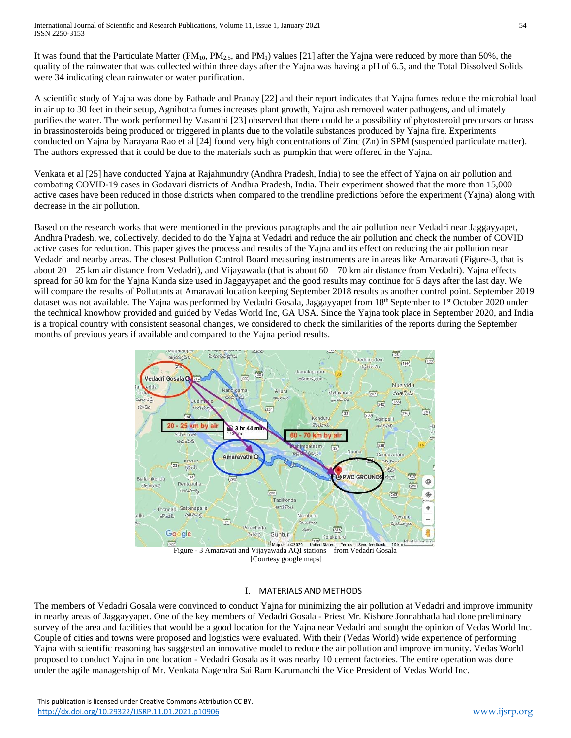It was found that the Particulate Matter ( $PM_{10}$ ,  $PM_{2.5}$ , and  $PM_1$ ) values [21] after the Yajna were reduced by more than 50%, the quality of the rainwater that was collected within three days after the Yajna was having a pH of 6.5, and the Total Dissolved Solids were 34 indicating clean rainwater or water purification.

A scientific study of Yajna was done by Pathade and Pranay [22] and their report indicates that Yajna fumes reduce the microbial load in air up to 30 feet in their setup, Agnihotra fumes increases plant growth, Yajna ash removed water pathogens, and ultimately purifies the water. The work performed by Vasanthi [23] observed that there could be a possibility of phytosteroid precursors or brass in brassinosteroids being produced or triggered in plants due to the volatile substances produced by Yajna fire. Experiments conducted on Yajna by Narayana Rao et al [24] found very high concentrations of Zinc (Zn) in SPM (suspended particulate matter). The authors expressed that it could be due to the materials such as pumpkin that were offered in the Yajna.

Venkata et al [25] have conducted Yajna at Rajahmundry (Andhra Pradesh, India) to see the effect of Yajna on air pollution and combating COVID-19 cases in Godavari districts of Andhra Pradesh, India. Their experiment showed that the more than 15,000 active cases have been reduced in those districts when compared to the trendline predictions before the experiment (Yajna) along with decrease in the air pollution.

Based on the research works that were mentioned in the previous paragraphs and the air pollution near Vedadri near Jaggayyapet, Andhra Pradesh, we, collectively, decided to do the Yajna at Vedadri and reduce the air pollution and check the number of COVID active cases for reduction. This paper gives the process and results of the Yajna and its effect on reducing the air pollution near Vedadri and nearby areas. The closest Pollution Control Board measuring instruments are in areas like Amaravati (Figure-3, that is about  $20 - 25$  km air distance from Vedadri), and Vijayawada (that is about  $60 - 70$  km air distance from Vedadri). Yajna effects spread for 50 km for the Yajna Kunda size used in Jaggayyapet and the good results may continue for 5 days after the last day. We will compare the results of Pollutants at Amaravati location keeping September 2018 results as another control point. September 2019 dataset was not available. The Yajna was performed by Vedadri Gosala, Jaggayyapet from 18<sup>th</sup> September to 1<sup>st</sup> October 2020 under the technical knowhow provided and guided by Vedas World Inc, GA USA. Since the Yajna took place in September 2020, and India is a tropical country with consistent seasonal changes, we considered to check the similarities of the reports during the September months of previous years if available and compared to the Yajna period results.



# I. MATERIALS AND METHODS

The members of Vedadri Gosala were convinced to conduct Yajna for minimizing the air pollution at Vedadri and improve immunity in nearby areas of Jaggayyapet. One of the key members of Vedadri Gosala - Priest Mr. Kishore Jonnabhatla had done preliminary survey of the area and facilities that would be a good location for the Yajna near Vedadri and sought the opinion of Vedas World Inc. Couple of cities and towns were proposed and logistics were evaluated. With their (Vedas World) wide experience of performing Yajna with scientific reasoning has suggested an innovative model to reduce the air pollution and improve immunity. Vedas World proposed to conduct Yajna in one location - Vedadri Gosala as it was nearby 10 cement factories. The entire operation was done under the agile managership of Mr. Venkata Nagendra Sai Ram Karumanchi the Vice President of Vedas World Inc.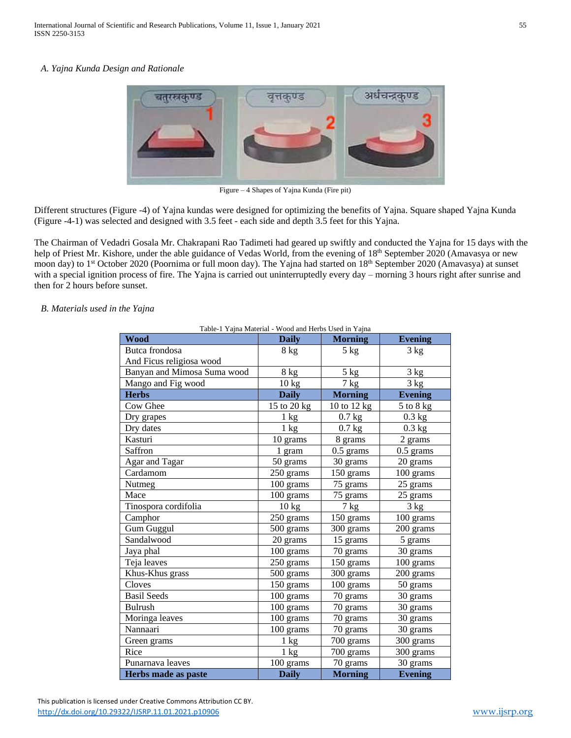#### *A. Yajna Kunda Design and Rationale*



Figure – 4 Shapes of Yajna Kunda (Fire pit)

Different structures (Figure -4) of Yajna kundas were designed for optimizing the benefits of Yajna. Square shaped Yajna Kunda (Figure -4-1) was selected and designed with 3.5 feet - each side and depth 3.5 feet for this Yajna.

The Chairman of Vedadri Gosala Mr. Chakrapani Rao Tadimeti had geared up swiftly and conducted the Yajna for 15 days with the help of Priest Mr. Kishore, under the able guidance of Vedas World, from the evening of 18<sup>th</sup> September 2020 (Amavasya or new moon day) to 1<sup>st</sup> October 2020 (Poornima or full moon day). The Yajna had started on 18<sup>th</sup> September 2020 (Amavasya) at sunset with a special ignition process of fire. The Yajna is carried out uninterruptedly every day – morning 3 hours right after sunrise and then for 2 hours before sunset.

#### *B. Materials used in the Yajna*

| <b>Wood</b>                 | <b>Daily</b>       | <b>Morning</b>                   | <b>Evening</b> |  |
|-----------------------------|--------------------|----------------------------------|----------------|--|
| Butca frondosa              | 5 kg<br>$8$ kg     |                                  | 3 kg           |  |
| And Ficus religiosa wood    |                    |                                  |                |  |
| Banyan and Mimosa Suma wood | 8 kg               | 5 kg                             | 3 kg           |  |
| Mango and Fig wood          | $\overline{10}$ kg | 3 kg<br>7 <sub>kg</sub>          |                |  |
| <b>Herbs</b>                | <b>Daily</b>       | <b>Morning</b><br><b>Evening</b> |                |  |
| Cow Ghee                    | 15 to 20 kg        | 10 to 12 kg                      | $5$ to $8$ kg  |  |
| Dry grapes                  | $1 \text{ kg}$     | $0.7$ kg                         | $0.3$ kg       |  |
| Dry dates                   | 1 kg               | $0.7$ kg                         | $0.3$ kg       |  |
| Kasturi                     | 10 grams           | 8 grams<br>2 grams               |                |  |
| Saffron                     | 1 gram             | $0.5$ grams                      | $0.5$ grams    |  |
| Agar and Tagar              | 50 grams           | 30 grams                         | 20 grams       |  |
| Cardamom                    | 250 grams          | 150 grams                        | 100 grams      |  |
| Nutmeg                      | 100 grams          | 75 grams                         | 25 grams       |  |
| Mace                        | 100 grams          | 75 grams                         | 25 grams       |  |
| Tinospora cordifolia        | 10 kg              | $7$ kg                           | 3 kg           |  |
| Camphor                     | 250 grams          | 150 grams                        | 100 grams      |  |
| <b>Gum Guggul</b>           | 500 grams          | 300 grams                        | 200 grams      |  |
| Sandalwood                  | 20 grams           | 15 grams                         | 5 grams        |  |
| Jaya phal                   | 100 grams          | 70 grams                         | 30 grams       |  |
| Teja leaves                 | 250 grams          | 150 grams<br>100 grams           |                |  |
| Khus-Khus grass             | 500 grams          | 300 grams<br>200 grams           |                |  |
| Cloves                      | 150 grams          | 100 grams<br>50 grams            |                |  |
| <b>Basil Seeds</b>          | 100 grams          | 70 grams<br>30 grams             |                |  |
| <b>Bulrush</b>              | 100 grams          | 70 grams<br>30 grams             |                |  |
| Moringa leaves              | 100 grams          | 70 grams<br>30 grams             |                |  |
| Nannaari                    | 100 grams          | 70 grams<br>30 grams             |                |  |
| Green grams                 | $1 \text{ kg}$     | 700 grams<br>300 grams           |                |  |
| Rice                        | $1 \text{ kg}$     | 700 grams<br>300 grams           |                |  |
| Punarnava leaves            | 100 grams          | 70 grams<br>30 grams             |                |  |
| Herbs made as paste         | <b>Daily</b>       | <b>Morning</b>                   | <b>Evening</b> |  |

Table-1 Yajna Material - Wood and Herbs Used in Yajna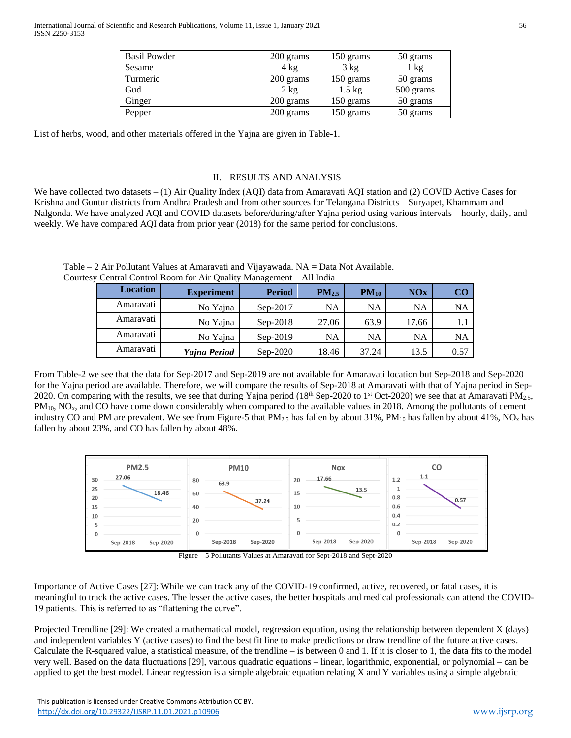| <b>Basil Powder</b> | 200 grams      | 150 grams        | 50 grams  |  |
|---------------------|----------------|------------------|-----------|--|
| Sesame              | $4 \text{ kg}$ | 3 kg             | 1 kg      |  |
| Turmeric            | 200 grams      | 150 grams        | 50 grams  |  |
| Gud                 | $2 \text{ kg}$ | $1.5 \text{ kg}$ | 500 grams |  |
| Ginger              | 200 grams      | 150 grams        | 50 grams  |  |
| Pepper              | 200 grams      | 150 grams        | 50 grams  |  |

List of herbs, wood, and other materials offered in the Yajna are given in Table-1.

## II. RESULTS AND ANALYSIS

We have collected two datasets – (1) Air Quality Index (AQI) data from Amaravati AQI station and (2) COVID Active Cases for Krishna and Guntur districts from Andhra Pradesh and from other sources for Telangana Districts – Suryapet, Khammam and Nalgonda. We have analyzed AQI and COVID datasets before/during/after Yajna period using various intervals – hourly, daily, and weekly. We have compared AQI data from prior year (2018) for the same period for conclusions.

| <b>Location</b> | <b>Experiment</b> | <b>Period</b> | PM <sub>2.5</sub> | $PM_{10}$ | NOx   | <b>CO</b> |  |
|-----------------|-------------------|---------------|-------------------|-----------|-------|-----------|--|
| Amaravati       | No Yajna          | $Sep-2017$    | NA                | NA        | NA    | NA        |  |
| Amaravati       | No Yajna          | $Sep-2018$    | 27.06             | 63.9      | 17.66 | 1.1       |  |
| Amaravati       | No Yajna          | $Sep-2019$    | NA                | <b>NA</b> | NA    | NA        |  |
| Amaravati       | Yajna Period      | $Sep-2020$    | 18.46             | 37.24     | 13.5  | 0.57      |  |

Table – 2 Air Pollutant Values at Amaravati and Vijayawada. NA = Data Not Available. Courtesy Central Control Room for Air Quality Management – All India

From Table-2 we see that the data for Sep-2017 and Sep-2019 are not available for Amaravati location but Sep-2018 and Sep-2020 for the Yajna period are available. Therefore, we will compare the results of Sep-2018 at Amaravati with that of Yajna period in Sep-2020. On comparing with the results, we see that during Yajna period (18<sup>th</sup> Sep-2020 to 1<sup>st</sup> Oct-2020) we see that at Amaravati PM<sub>2.5</sub>, PM<sub>10</sub>, NO<sub>x</sub>, and CO have come down considerably when compared to the available values in 2018. Among the pollutants of cement industry CO and PM are prevalent. We see from Figure-5 that  $PM_{2.5}$  has fallen by about 31%,  $PM_{10}$  has fallen by about 41%, NO<sub>x</sub> has fallen by about 23%, and CO has fallen by about 48%.



Figure – 5 Pollutants Values at Amaravati for Sept-2018 and Sept-2020

Importance of Active Cases [27]: While we can track any of the COVID-19 confirmed, active, recovered, or fatal cases, it is meaningful to track the active cases. The lesser the active cases, the better hospitals and medical professionals can attend the COVID-19 patients. This is referred to as "flattening the curve".

Projected Trendline [29]: We created a mathematical model, regression equation, using the relationship between dependent X (days) and independent variables Y (active cases) to find the best fit line to make predictions or draw trendline of the future active cases. Calculate the R-squared value, a statistical measure, of the trendline  $-$  is between 0 and 1. If it is closer to 1, the data fits to the model very well. Based on the data fluctuations [29], various quadratic equations – linear, logarithmic, exponential, or polynomial – can be applied to get the best model. Linear regression is a simple algebraic equation relating X and Y variables using a simple algebraic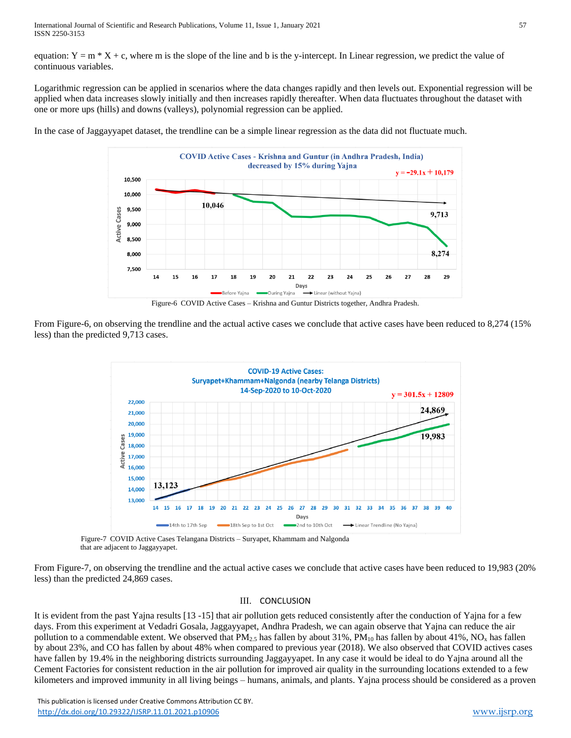equation:  $Y = m \times X + c$ , where m is the slope of the line and b is the y-intercept. In Linear regression, we predict the value of continuous variables.

Logarithmic regression can be applied in scenarios where the data changes rapidly and then levels out. Exponential regression will be applied when data increases slowly initially and then increases rapidly thereafter. When data fluctuates throughout the dataset with one or more ups (hills) and downs (valleys), polynomial regression can be applied.

In the case of Jaggayyapet dataset, the trendline can be a simple linear regression as the data did not fluctuate much.



Figure-6 COVID Active Cases – Krishna and Guntur Districts together, Andhra Pradesh.

From Figure-6, on observing the trendline and the actual active cases we conclude that active cases have been reduced to 8,274 (15% less) than the predicted 9,713 cases.



 Figure-7 COVID Active Cases Telangana Districts – Suryapet, Khammam and Nalgonda that are adjacent to Jaggayyapet.

From Figure-7, on observing the trendline and the actual active cases we conclude that active cases have been reduced to 19,983 (20% less) than the predicted 24,869 cases.

# III. CONCLUSION

It is evident from the past Yajna results [13 -15] that air pollution gets reduced consistently after the conduction of Yajna for a few days. From this experiment at Vedadri Gosala, Jaggayyapet, Andhra Pradesh, we can again observe that Yajna can reduce the air pollution to a commendable extent. We observed that  $PM_{2.5}$  has fallen by about 31%,  $PM_{10}$  has fallen by about 41%,  $NO_x$  has fallen by about 23%, and CO has fallen by about 48% when compared to previous year (2018). We also observed that COVID actives cases have fallen by 19.4% in the neighboring districts surrounding Jaggayyapet. In any case it would be ideal to do Yajna around all the Cement Factories for consistent reduction in the air pollution for improved air quality in the surrounding locations extended to a few kilometers and improved immunity in all living beings – humans, animals, and plants. Yajna process should be considered as a proven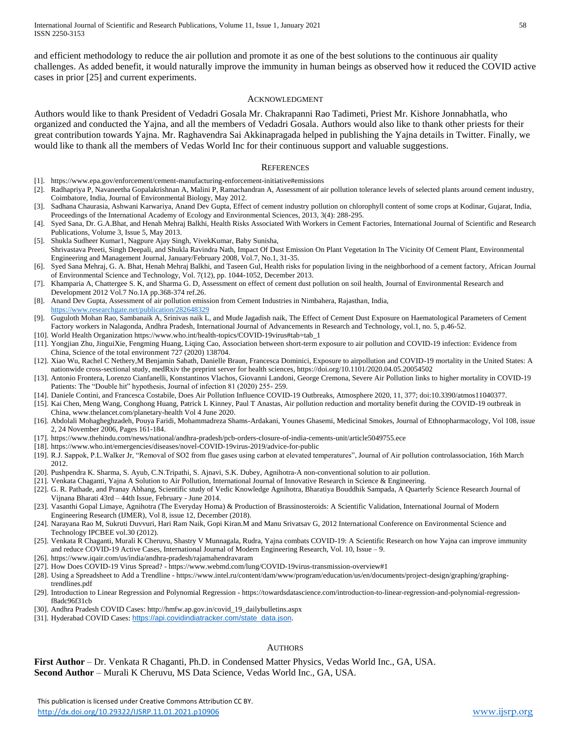and efficient methodology to reduce the air pollution and promote it as one of the best solutions to the continuous air quality challenges. As added benefit, it would naturally improve the immunity in human beings as observed how it reduced the COVID active cases in prior [25] and current experiments.

#### ACKNOWLEDGMENT

Authors would like to thank President of Vedadri Gosala Mr. Chakrapanni Rao Tadimeti, Priest Mr. Kishore Jonnabhatla, who organized and conducted the Yajna, and all the members of Vedadri Gosala. Authors would also like to thank other priests for their great contribution towards Yajna. Mr. Raghavendra Sai Akkinapragada helped in publishing the Yajna details in Twitter. Finally, we would like to thank all the members of Vedas World Inc for their continuous support and valuable suggestions.

#### **REFERENCES**

- [1]. https://www.epa.gov/enforcement/cement-manufacturing-enforcement-initiative#emissions
- [2]. Radhapriya P, Navaneetha Gopalakrishnan A, Malini P, Ramachandran A, Assessment of air pollution tolerance levels of selected plants around cement industry, Coimbatore, India, Journal of Environmental Biology, May 2012.
- [3]. Sadhana Chaurasia, Ashwani Karwariya, Anand Dev Gupta, Effect of cement industry pollution on chlorophyll content of some crops at Kodinar, Gujarat, India, Proceedings of the International Academy of Ecology and Environmental Sciences, 2013, 3(4): 288-295.
- [4]. Syed Sana, Dr. G.A.Bhat, and Henah Mehraj Balkhi, Health Risks Associated With Workers in Cement Factories, International Journal of Scientific and Research Publications, Volume 3, Issue 5, May 2013.
- [5]. Shukla Sudheer Kumar1, Nagpure Ajay Singh, VivekKumar, Baby Sunisha, Shrivastava Preeti, Singh Deepali, and Shukla Ravindra Nath, Impact Of Dust Emission On Plant Vegetation In The Vicinity Of Cement Plant, Environmental Engineering and Management Journal, January/February 2008, Vol.7, No.1, 31-35.
- [6]. Syed Sana Mehraj, G. A. Bhat, Henah Mehraj Balkhi, and Taseen Gul, Health risks for population living in the neighborhood of a cement factory, African Journal of Environmental Science and Technology, Vol. 7(12), pp. 1044-1052, December 2013.
- [7]. Khamparia A, Chattergee S. K, and Sharma G. D, Assessment on effect of cement dust pollution on soil health, Journal of Environmental Research and Development 2012 Vol.7 No.1A pp.368-374 ref.26.
- [8]. Anand Dev Gupta, Assessment of air pollution emission from Cement Industries in Nimbahera, Rajasthan, India, <https://www.researchgate.net/publication/282648329>
- [9]. Guguloth Mohan Rao, Sambanaik A, Srinivas naik L, and Mude Jagadish naik, The Effect of Cement Dust Exposure on Haematological Parameters of Cement Factory workers in Nalagonda, Andhra Pradesh, International Journal of Advancements in Research and Technology, vol.1, no. 5, p.46-52.
- [10]. World Health Organization https://www.who.int/health-topics/COVID-19virus#tab=tab\_1 [11]. Yongjian Zhu, JinguiXie, Fengming Huang, Liqing Cao, Association between short-term exposure to air pollution and COVID-19 infection: Evidence from China, Science of the total environment 727 (2020) 138704.
- [12]. Xiao Wu, Rachel C Nethery,M Benjamin Sabath, Danielle Braun, Francesca Dominici, Exposure to airpollution and COVID-19 mortality in the United States: A nationwide cross-sectional study, medRxiv the preprint server for health sciences, https://doi.org/10.1101/2020.04.05.20054502
- [13]. Antonio Frontera, Lorenzo Cianfanelli, Konstantinos Vlachos, Giovanni Landoni, George Cremona, Severe Air Pollution links to higher mortality in COVID-19 Patients: The "Double hit" hypothesis, Journal of infection 81 (2020) 255- 259.
- [14]. Daniele Contini, and Francesca Costabile, Does Air Pollution Influence COVID-19 Outbreaks, Atmosphere 2020, 11, 377; doi:10.3390/atmos11040377.
- [15]. Kai Chen, Meng Wang, Conghong Huang, Patrick L Kinney, Paul T Anastas, Air pollution reduction and mortality benefit during the COVID-19 outbreak in China, www.thelancet.com/planetary-health Vol 4 June 2020.
- [16]. Abdolali Mohagheghzadeh, Pouya Faridi, Mohammadreza Shams-Ardakani, Younes Ghasemi, Medicinal Smokes, Journal of Ethnopharmacology, Vol 108, issue 2, 24 November 2006, Pages 161-184.
- [17]. https://www.thehindu.com/news/national/andhra-pradesh/pcb-orders-closure-of-india-cements-unit/article5049755.ece
- [18]. https://www.who.int/emergencies/diseases/novel-COVID-19virus-2019/advice-for-public
- [19]. R.J. Sappok, P.L.Walker Jr, "Removal of SO2 from flue gases using carbon at elevated temperatures", Journal of Air pollution controlassociation, 16th March 2012.
- [20]. Pushpendra K. Sharma, S. Ayub, C.N.Tripathi, S. Ajnavi, S.K. Dubey, Agnihotra-A non-conventional solution to air pollution.
- [21]. Venkata Chaganti, Yajna A Solution to Air Pollution, International Journal of Innovative Research in Science & Engineering.
- [22]. G. R. Pathade, and Pranay Abhang, Scientific study of Vedic Knowledge Agnihotra, Bharatiya Bouddhik Sampada, A Quarterly Science Research Journal of Vijnana Bharati 43rd – 44th Issue, February - June 2014.
- [23]. Vasanthi Gopal Limaye, Agnihotra (The Everyday Homa) & Production of Brassinosteroids: A Scientific Validation, International Journal of Modern Engineering Research (IJMER), Vol 8, issue 12, December (2018).
- [24]. Narayana Rao M, Sukruti Duvvuri, Hari Ram Naik, Gopi Kiran.M and Manu Srivatsav G, 2012 International Conference on Environmental Science and Technology IPCBEE vol.30 (2012).
- [25]. Venkata R Chaganti, Murali K Cheruvu, Shastry V Munnagala, Rudra, Yajna combats COVID-19: A Scientific Research on how Yajna can improve immunity and reduce COVID-19 Active Cases, International Journal of Modern Engineering Research, Vol. 10, Issue – 9.
- [26]. https://www.iqair.com/us/india/andhra-pradesh/rajamahendravaram
- [27]. How Does COVID-19 Virus Spread? https://www.webmd.com/lung/COVID-19virus-transmission-overview#1
- [28]. Using a Spreadsheet to Add a Trendline https://www.intel.ru/content/dam/www/program/education/us/en/documents/project-design/graphing/graphingtrendlines.pdf
- [29]. Introduction to Linear Regression and Polynomial Regression https://towardsdatascience.com/introduction-to-linear-regression-and-polynomial-regressionf8adc96f31cb
- [30]. Andhra Pradesh COVID Cases: http://hmfw.ap.gov.in/covid\_19\_dailybulletins.aspx
- [31]. Hyderabad COVID Cases: [https://api.covidindiatracker.com/state\\_data.json](https://api.covidindiatracker.com/state_data.json).

# **AUTHORS**

**First Author** – Dr. Venkata R Chaganti, Ph.D. in Condensed Matter Physics, Vedas World Inc., GA, USA. **Second Author** – Murali K Cheruvu, MS Data Science, Vedas World Inc., GA, USA.